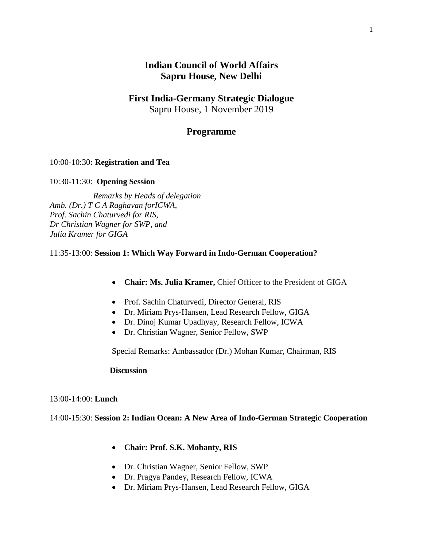# **Indian Council of World Affairs Sapru House, New Delhi**

## **First India-Germany Strategic Dialogue**

Sapru House, 1 November 2019

## **Programme**

### 10:00-10:30**: Registration and Tea**

#### 10:30-11:30: **Opening Session**

 *Remarks by Heads of delegation Amb. (Dr.) T C A Raghavan forICWA, Prof. Sachin Chaturvedi for RIS, Dr Christian Wagner for SWP, and Julia Kramer for GIGA*

#### 11:35-13:00: **Session 1: Which Way Forward in Indo-German Cooperation?**

- **Chair: Ms. Julia Kramer,** Chief Officer to the President of GIGA
- Prof. Sachin Chaturvedi, Director General, RIS
- Dr. Miriam Prys-Hansen, Lead Research Fellow, GIGA
- Dr. Dinoj Kumar Upadhyay, Research Fellow, ICWA
- Dr. Christian Wagner, Senior Fellow, SWP

Special Remarks: Ambassador (Dr.) Mohan Kumar, Chairman, RIS

#### **Discussion**

#### 13:00-14:00: **Lunch**

### 14:00-15:30: **Session 2: Indian Ocean: A New Area of Indo-German Strategic Cooperation**

- **Chair: Prof. S.K. Mohanty, RIS**
- Dr. Christian Wagner, Senior Fellow, SWP
- Dr. Pragya Pandey, Research Fellow, ICWA
- Dr. Miriam Prys-Hansen, Lead Research Fellow, GIGA